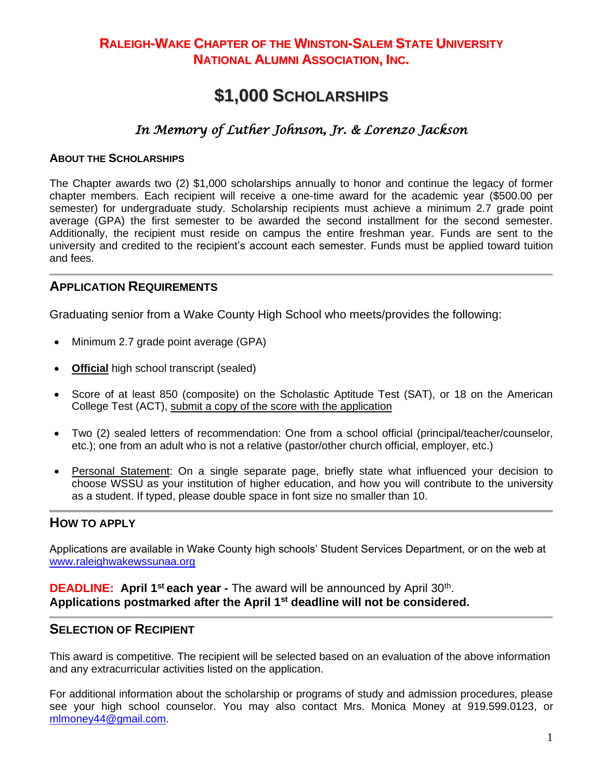# **RALEIGH-WAKE CHAPTER OF THE WINSTON-SALEM STATE UNIVERSITY NATIONAL ALUMNI ASSOCIATION, INC.**

# **\$1,000 SCHOLARSHIPS**

## *In Memory of Luther Johnson, Jr. & Lorenzo Jackson*

#### **ABOUT THE SCHOLARSHIPS**

The Chapter awards two (2) \$1,000 scholarships annually to honor and continue the legacy of former chapter members. Each recipient will receive a one-time award for the academic year (\$500.00 per semester) for undergraduate study. Scholarship recipients must achieve a minimum 2.7 grade point average (GPA) the first semester to be awarded the second installment for the second semester. Additionally, the recipient must reside on campus the entire freshman year. Funds are sent to the university and credited to the recipient's account each semester. Funds must be applied toward tuition and fees.

#### **APPLICATION REQUIREMENTS**

Graduating senior from a Wake County High School who meets/provides the following:

- Minimum 2.7 grade point average (GPA)
- **Official** high school transcript (sealed)
- Score of at least 850 (composite) on the Scholastic Aptitude Test (SAT), or 18 on the American College Test (ACT), submit a copy of the score with the application
- Two (2) sealed letters of recommendation: One from a school official (principal/teacher/counselor, etc.); one from an adult who is not a relative (pastor/other church official, employer, etc.)
- Personal Statement: On a single separate page, briefly state what influenced your decision to choose WSSU as your institution of higher education, and how you will contribute to the university as a student. If typed, please double space in font size no smaller than 10.

#### **HOW TO APPLY**

Applications are available in Wake County high schools' Student Services Department, or on the web at [www.raleighwakewssunaa.org](http://www.raleighwakewssunaa.org/)

**DEADLINE:** April 1<sup>st</sup> each year - The award will be announced by April 30<sup>th</sup>. **Applications postmarked after the April 1st deadline will not be considered.**

#### **SELECTION OF RECIPIENT**

This award is competitive. The recipient will be selected based on an evaluation of the above information and any extracurricular activities listed on the application.

For additional information about the scholarship or programs of study and admission procedures, please see your high school counselor. You may also contact Mrs. Monica Money at 919.599.0123, or [mlmoney44@gmail.com.](mailto:mlmoney44@gmail.com)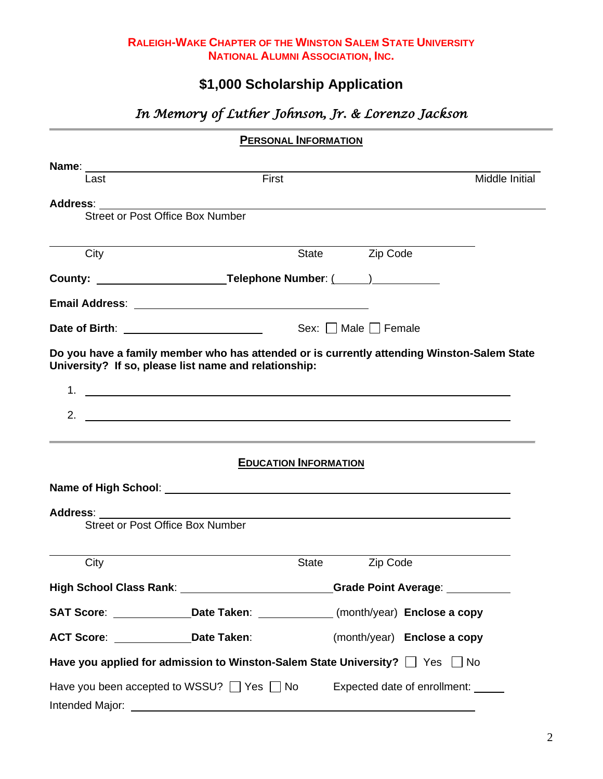#### **RALEIGH-WAKE CHAPTER OF THE WINSTON SALEM STATE UNIVERSITY NATIONAL ALUMNI ASSOCIATION, INC.**

# **\$1,000 Scholarship Application**

# *In Memory of Luther Johnson, Jr. & Lorenzo Jackson*

| Last                           | First                                                                                                                                                                              |                                 | Middle Initial |
|--------------------------------|------------------------------------------------------------------------------------------------------------------------------------------------------------------------------------|---------------------------------|----------------|
|                                |                                                                                                                                                                                    |                                 |                |
|                                | Street or Post Office Box Number                                                                                                                                                   |                                 |                |
| City                           |                                                                                                                                                                                    | State <b>Zip Code</b>           |                |
|                                |                                                                                                                                                                                    |                                 |                |
|                                |                                                                                                                                                                                    |                                 |                |
|                                |                                                                                                                                                                                    |                                 |                |
|                                |                                                                                                                                                                                    | Sex: $\Box$ Male $\Box$ Female  |                |
| 1.<br>2.                       | <u> 1980 - John Barnett, fransk politiker (d. 1980)</u><br><u> 1990 - Jan Alexander de Carlos de Carlos de Carlos de Carlos de Carlos de Carlos de Carlos de Carlos de Carlos </u> |                                 |                |
|                                | <b>EDUCATION INFORMATION</b>                                                                                                                                                       |                                 |                |
|                                |                                                                                                                                                                                    |                                 |                |
| Address: _______               | Street or Post Office Box Number                                                                                                                                                   |                                 |                |
|                                |                                                                                                                                                                                    |                                 |                |
| City                           |                                                                                                                                                                                    | Zip Code<br>State               |                |
| <b>High School Class Rank:</b> |                                                                                                                                                                                    | Grade Point Average: __________ |                |
|                                | SAT Score: ________________Date Taken: _____________(month/year) Enclose a copy                                                                                                    |                                 |                |
|                                | ACT Score: Date Taken:                                                                                                                                                             | (month/year) Enclose a copy     |                |
|                                | Have you applied for admission to Winston-Salem State University? $\Box$ Yes $\Box$ No                                                                                             |                                 |                |
|                                | Have you been accepted to WSSU? $\Box$ Yes $\Box$ No Expected date of enrollment:                                                                                                  |                                 |                |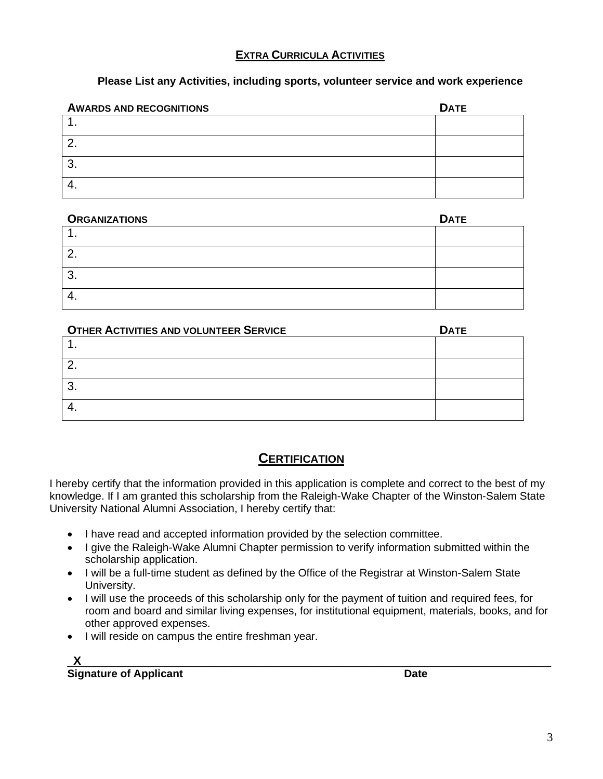#### **EXTRA CURRICULA ACTIVITIES**

#### **Please List any Activities, including sports, volunteer service and work experience**

| <b>AWARDS AND RECOGNITIONS</b> | <b>DATE</b> |
|--------------------------------|-------------|
|                                |             |
|                                |             |
| റ<br>U.                        |             |
| ᠇.                             |             |

#### **ORGANIZATIONS DATE**

| <b>UNUANILA HUNU</b> | PAIL |
|----------------------|------|
|                      |      |
| ⌒<br>$\mathcal{L}$   |      |
| ⌒<br>. ب             |      |
| 4.                   |      |

| <b>OTHER ACTIVITIES AND VOLUNTEER SERVICE</b> | <b>DATE</b> |
|-----------------------------------------------|-------------|
|                                               |             |
|                                               |             |
| ິ                                             |             |
|                                               |             |

### **CERTIFICATION**

I hereby certify that the information provided in this application is complete and correct to the best of my knowledge. If I am granted this scholarship from the Raleigh-Wake Chapter of the Winston-Salem State University National Alumni Association, I hereby certify that:

- I have read and accepted information provided by the selection committee.
- I give the Raleigh-Wake Alumni Chapter permission to verify information submitted within the scholarship application.
- I will be a full-time student as defined by the Office of the Registrar at Winston-Salem State University.
- I will use the proceeds of this scholarship only for the payment of tuition and required fees, for room and board and similar living expenses, for institutional equipment, materials, books, and for other approved expenses.
- I will reside on campus the entire freshman year.

|--|--|--|--|--|--|--|--|--|

**Signature of Applicant Date**